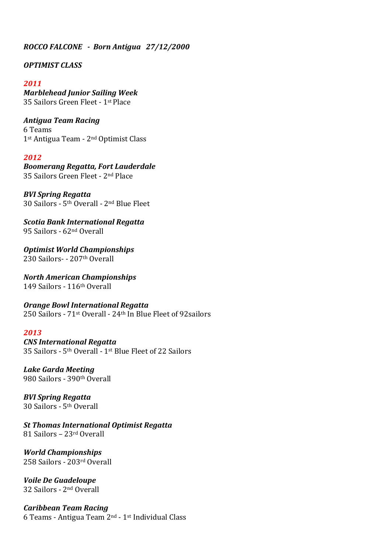# *ROCCO FALCONE - Born Antigua 27/12/2000*

## *OPTIMIST CLASS*

### *2011*

*Marblehead Junior Sailing Week* 35 Sailors Green Fleet - 1<sup>st</sup> Place

*Antigua Team Racing*  6 Teams 1<sup>st</sup> Antigua Team - 2<sup>nd</sup> Optimist Class

### *2012*

*Boomerang Regatta, Fort Lauderdale* 35 Sailors Green Fleet - 2<sup>nd</sup> Place

*BVI Spring Regatta* 30 Sailors - 5<sup>th</sup> Overall - 2<sup>nd</sup> Blue Fleet

*Scotia Bank International Regatta* 95 Sailors - 62<sup>nd</sup> Overall

*Optimist World Championships* 230 Sailors- - 207th Overall

*North American Championships* 149 Sailors - 116th Overall

*Orange Bowl International Regatta* 250 Sailors -  $71$ <sup>st</sup> Overall -  $24$ <sup>th</sup> In Blue Fleet of 92 sailors

#### *2013*

*CNS International Regatta* 35 Sailors -  $5<sup>th</sup>$  Overall - 1st Blue Fleet of 22 Sailors

*Lake Garda Meeting* 980 Sailors - 390th Overall

*BVI Spring Regatta* 30 Sailors - 5th Overall

*St Thomas International Optimist Regatta* 81 Sailors – 23rd Overall

*World Championships* 258 Sailors - 203rd Overall

*Voile De Guadeloupe* 32 Sailors - 2nd Overall

*Caribbean Team Racing* 6 Teams - Antigua Team 2nd - 1st Individual Class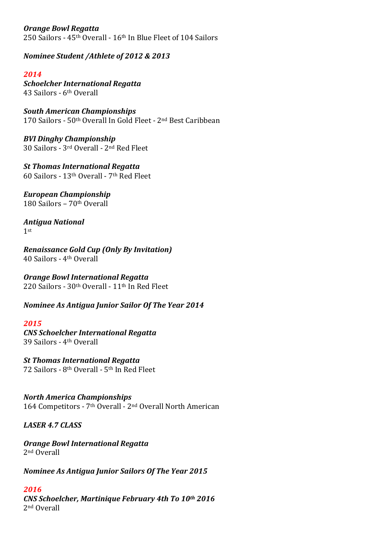*Orange Bowl Regatta* 250 Sailors - 45<sup>th</sup> Overall - 16<sup>th</sup> In Blue Fleet of 104 Sailors

*Nominee Student /Athlete of 2012 & 2013*

# *2014*

*Schoelcher International Regatta* 43 Sailors - 6th Overall

*South American Championships* 170 Sailors - 50<sup>th</sup> Overall In Gold Fleet - 2<sup>nd</sup> Best Caribbean

*BVI Dinghy Championship* 30 Sailors - 3rd Overall - 2nd Red Fleet

**St Thomas International Regatta** 60 Sailors - 13th Overall - 7th Red Fleet

*European Championship* 180 Sailors – 70th Overall

*Antigua National*  1st

*Renaissance Gold Cup (Only By Invitation)* 40 Sailors - 4th Overall

*Orange Bowl International Regatta* 220 Sailors -  $30<sup>th</sup>$  Overall -  $11<sup>th</sup>$  In Red Fleet

*Nominee As Antigua Junior Sailor Of The Year 2014*

## *2015*

*CNS Schoelcher International Regatta* 39 Sailors - 4th Overall

*St Thomas International Regatta* 72 Sailors - 8<sup>th</sup> Overall - 5<sup>th</sup> In Red Fleet

*North America Championships* 164 Competitors - 7<sup>th</sup> Overall - 2<sup>nd</sup> Overall North American

## *LASER 4.7 CLASS*

#### *Orange Bowl International Regatta* 2nd Overall

*Nominee As Antigua Junior Sailors Of The Year 2015*

## *2016*

*CNS Schoelcher, Martinique February 4th To 10th 2016* 2nd Overall